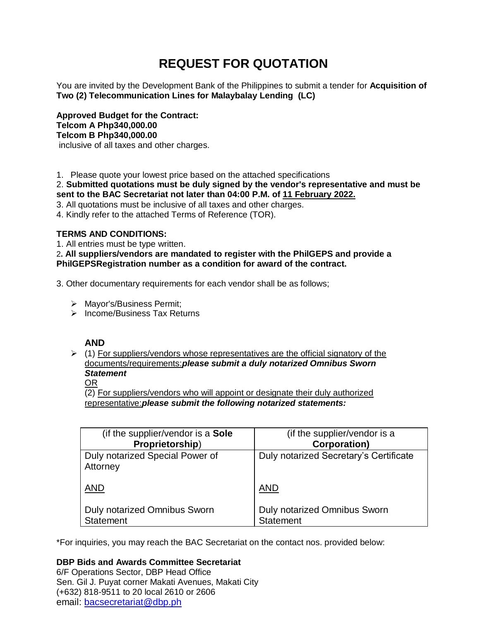# **REQUEST FOR QUOTATION**

You are invited by the Development Bank of the Philippines to submit a tender for **Acquisition of Two (2) Telecommunication Lines for Malaybalay Lending (LC)**

**Approved Budget for the Contract: Telcom A Php340,000.00 Telcom B Php340,000.00** inclusive of all taxes and other charges.

1. Please quote your lowest price based on the attached specifications

2. **Submitted quotations must be duly signed by the vendor's representative and must be sent to the BAC Secretariat not later than 04:00 P.M. of 11 February 2022.**

3. All quotations must be inclusive of all taxes and other charges.

4. Kindly refer to the attached Terms of Reference (TOR).

# **TERMS AND CONDITIONS:**

1. All entries must be type written.

2**. All suppliers/vendors are mandated to register with the PhilGEPS and provide a PhilGEPSRegistration number as a condition for award of the contract.**

3. Other documentary requirements for each vendor shall be as follows;

- > Mayor's/Business Permit;
- $\triangleright$  Income/Business Tax Returns

# **AND**

 $(1)$  For suppliers/vendors whose representatives are the official signatory of the documents/requirements:*please submit a duly notarized Omnibus Sworn Statement*

# OR

(2) For suppliers/vendors who will appoint or designate their duly authorized representative:*please submit the following notarized statements:*

| (if the supplier/vendor is a <b>Sole</b> )  | (if the supplier/vendor is a           |
|---------------------------------------------|----------------------------------------|
| Proprietorship)                             | <b>Corporation)</b>                    |
| Duly notarized Special Power of<br>Attorney | Duly notarized Secretary's Certificate |
| <b>AND</b>                                  | AND                                    |
| <b>Duly notarized Omnibus Sworn</b>         | Duly notarized Omnibus Sworn           |
| <b>Statement</b>                            | <b>Statement</b>                       |

\*For inquiries, you may reach the BAC Secretariat on the contact nos. provided below:

**DBP Bids and Awards Committee Secretariat**  6/F Operations Sector, DBP Head Office Sen. Gil J. Puyat corner Makati Avenues, Makati City (+632) 818-9511 to 20 local 2610 or 2606 email: [bacsecretariat@dbp.ph](mailto:bacsecretariat@dbp.ph)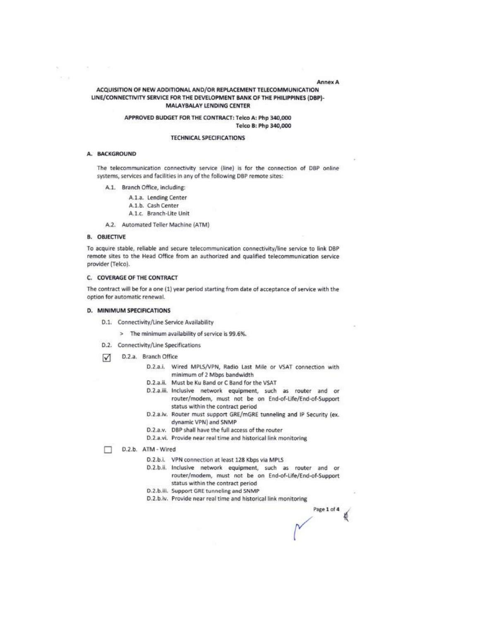## ACQUISITION OF NEW ADDITIONAL AND/OR REPLACEMENT TELECOMMUNICATION LINE/CONNECTIVITY SERVICE FOR THE DEVELOPMENT BANK OF THE PHILIPPINES (DBP)-**MALAYBALAY LENDING CENTER**

## APPROVED BUDGET FOR THE CONTRACT: Telco A: Php 340,000 Telco B: Php 340,000

#### **TECHNICAL SPECIFICATIONS**

#### A. BACKGROUND

on.

**ACCOR** 

The telecommunication connectivity service (line) is for the connection of DBP online systems, services and facilities in any of the following DBP remote sites:

- A.1. Branch Office, including:
	- A.1.a. Lending Center
	- A.1.b. Cash Center
	- A.1.c. Branch-Lite Unit
- A.2. Automated Teller Machine (ATM)

# **B. OBJECTIVE**

To acquire stable, reliable and secure telecommunication connectivity/line service to link DBP remote sites to the Head Office from an authorized and qualified telecommunication service provider (Telco).

#### C. COVERAGE OF THE CONTRACT

The contract will be for a one (1) year period starting from date of acceptance of service with the option for automatic renewal.

## D. MINIMUM SPECIFICATIONS

- D.1. Connectivity/Line Service Availability
	- > The minimum availability of service is 99.6%.
- D.2. Connectivity/Line Specifications
- D.2.a. Branch Office ☑
	- D.2.a.i. Wired MPLS/VPN, Radio Last Mile or VSAT connection with minimum of 2 Mbps bandwidth
	- D.2.a.ii. Must be Ku Band or C Band for the VSAT
	- D.2.a.iii. Inclusive network equipment, such as router and or router/modem, must not be on End-of-Life/End-of-Support status within the contract period
	- D.2.a.iv. Router must support GRE/mGRE tunneling and IP Security (ex. dynamic VPN) and SNMP
	- D.2.a.v. DBP shall have the full access of the router
	- D.2.a.vi. Provide near real time and historical link monitoring

D.2.b. ATM - Wired

- D.2.b.i. VPN connection at least 128 Kbps via MPLS
- D.2.b.ii. Inclusive network equipment, such as router and or router/modem, must not be on End-of-Life/End-of-Support status within the contract period
- D.2.b.iii. Support GRE tunneling and SNMP
- D.2.b.iv. Provide near real time and historical link monitoring

Page 1 of 4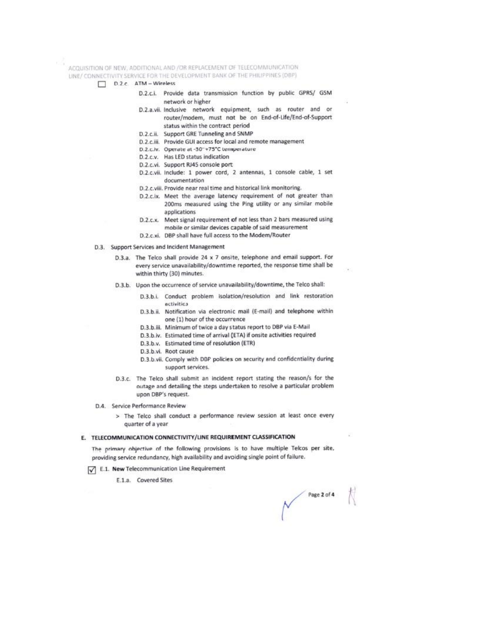ACQUISITION OF NEW, ADDITIONAL AND /OR REPLACEMENT OF TELECOMMUNICATION

- LINE/ CONNECTIVITY SERVICE FOR THE DEVELOPMENT BANK OF THE PHILIPPINES (DBP)
	- $D.2.c.$  ATM Wireless
		- D.2.c.i. Provide data transmission function by public GPRS/ GSM network or higher
		- D.2.a.vii. Inclusive network equipment, such as router and or router/modem, must not be on End-of-Life/End-of-Support status within the contract period
		- D.2.c.ii. Support GRE Tunneling and SNMP
		- D.2.c.iii. Provide GUI access for local and remote management
		- D.2.c.lv. Operate at -30"+75"C temperature
		- D.2.c.v. Has LED status indication
		- D.2.c.vi. Support RJ45 console port:
		- D.2.c.vii. Include: 1 power cord, 2 antennas, 1 console cable, 1 set documentation
		- D.2.c.viii. Provide near real time and historical link monitoring.
		- D.2.c.ix. Meet the average latency requirement of not greater than 200ms measured using the Ping utility or any similar mobile applications
		- D.2.c.x. Meet signal requirement of not less than 2 bars measured using mobile or similar devices capable of said measurement
		- D.2.c.xi. DBP shall have full access to the Modem/Router
	- D.3. Support Services and Incident Management
		- D.3.a. The Telco shall provide 24 x 7 onsite, telephone and email support. For every service unavailability/downtime reported, the response time shall be within thirty (30) minutes.
		- D.3.b. Upon the occurrence of service unavailability/downtime, the Telco shall:
			- D.3.b.i. Conduct problem isolation/resolution and link restoration *activities*
			- D.3.b.ii. Notification via electronic mail (E-mail) and telephone within one (1) hour of the occurrence
			- D.3.b.iii. Minimum of twice a day status report to DBP via E-Mail
			- D.3.b.iv. Estimated time of arrival (ETA) if onsite activities required
			- D.3.b.v. Estimated time of resolution (ETR)
			- D.3.b.vi. Root cause
			- D.3.b.vii. Comply with DBP policies on security and confidentiality during support services.
		- D.3.c. The Telco shall submit an incident report stating the reason/s for the outage and detailing the steps undertaken to resolve a particular problem upon DBP's request.
	- D.4. Service Performance Review
		- > The Telco shall conduct a performance review session at least once every quarter of a year

#### E. TELECOMMUNICATION CONNECTIVITY/LINE REQUIREMENT CLASSIFICATION

The primary objective of the following provisions is to have multiple Telcos per site, providing service redundancy, high availability and avoiding single point of failure.

- E.1. New Telecommunication Line Requirement
	- E.1.a. Covered Sites

Page 2 of 4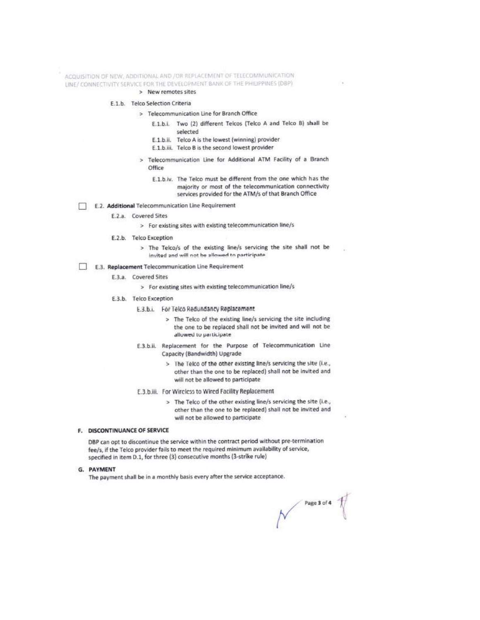ACQUISITION OF NEW, ADDITIONAL AND /OR REPLACEMENT OF TELECOMMUNICATION LINE/ CONNECTIVITY SERVICE FOR THE DEVELOPMENT BANK OF THE PHILIPPINES (DBP)

# > New remotes sites

#### E.1.b. Telco Selection Criteria

> Telecommunication Line for Branch Office

- E.1.b.i. Two (2) different Telcos (Telco A and Telco B) shall be selected
- E.1.b.ii. Telco A is the lowest (winning) provider
- E.1.b.iii. Telco B is the second lowest provider
- Telecommunication Line for Additional ATM Facility of a Branch Office
	- E.1.b.iv. The Telco must be different from the one which has the majority or most of the telecommunication connectivity services provided for the ATM/s of that Branch Office
- E.2. Additional Telecommunication Line Requirement п.
	- E.2.a. Covered Sites
		- > For existing sites with existing telecommunication line/s
	- E.2.b. Telco Exception
		- > The Telco/s of the existing line/s servicing the site shall not be invited and will not be allowed to participate
- E.3. Replacement Telecommunication Line Requirement
	- E.3.a. Covered Sites
		- > For existing sites with existing telecommunication line/s
	- E.3.b. Telco Exception
		- E.3.b.i. For Telco Redundancy Replacement
			- > The Telco of the existing line/s servicing the site including the one to be replaced shall not be invited and will not be allowed to participate
		- E.3.b.ii. Replacement for the Purpose of Telecommunication Line Capacity (Bandwidth) Upgrade
			- The Telco of the other existing line/s servicing the site (i.e., 5 other than the one to be replaced) shall not be invited and will not be allowed to participate
		- E.3.b.iii. For Wircless to Wired Facility Replacement
			- > The Telco of the other existing line/s servicing the site (i.e., other than the one to be replaced) shall not be invited and will not be allowed to participate

# F. DISCONTINUANCE OF SERVICE

DBP can opt to discontinue the service within the contract period without pre-termination fee/s, if the Telco provider fails to meet the required minimum availability of service, specified in item D.1, for three (3) consecutive months (3-strike rule)

G. PAYMENT

The payment shall be in a monthly basis every after the service acceptance.

Page 3 of 4